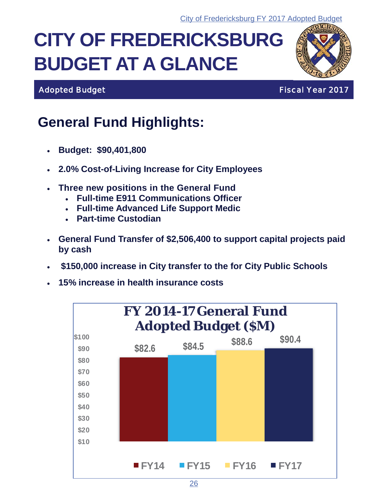City of Fredericksburg FY 2017 Adopted Budget

# **CITY OF FREDERICKSBURG BUDGET AT A GLANCE**



#### **Adopted Budget Fiscal Year 2017**

## **General Fund Highlights:**

- x **Budget: \$90,401,800**
- x **2.0% Cost-of-Living Increase for City Employees**
- x **Three new positions in the General Fund** 
	- x **Full-time E911 Communications Officer**
	- x **Full-time Advanced Life Support Medic**
	- **Part-time Custodian**
- x **General Fund Transfer of \$2,506,400 to support capital projects paid by cash**
- x **\$150,000 increase in City transfer to the for City Public Schools**
- x **15% increase in health insurance costs**

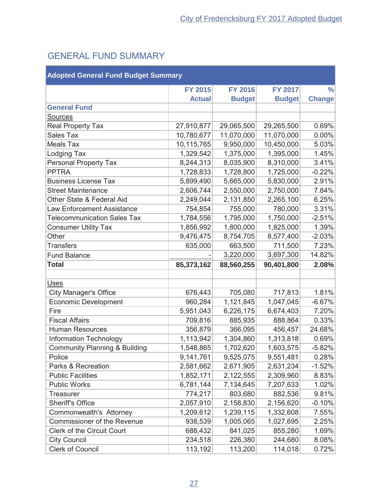### GENERAL FUND SUMMARY

| <b>Adopted General Fund Budget Summary</b> |                |                |                    |               |  |  |  |  |  |  |  |
|--------------------------------------------|----------------|----------------|--------------------|---------------|--|--|--|--|--|--|--|
|                                            | <b>FY 2015</b> | <b>FY 2016</b> | <b>FY 2017</b>     | %             |  |  |  |  |  |  |  |
|                                            | <b>Actual</b>  | <b>Budget</b>  | <b>Budget</b>      | <b>Change</b> |  |  |  |  |  |  |  |
| <b>General Fund</b>                        |                |                |                    |               |  |  |  |  |  |  |  |
| <b>Sources</b>                             |                |                |                    |               |  |  |  |  |  |  |  |
| <b>Real Property Tax</b>                   | 27,910,877     | 29,065,500     | 29,265,500         | 0.69%         |  |  |  |  |  |  |  |
| <b>Sales Tax</b>                           | 10,780,677     | 11,070,000     | 11,070,000         | 0.00%         |  |  |  |  |  |  |  |
| <b>Meals Tax</b>                           | 10,115,765     | 9,950,000      | 10,450,000         | 5.03%         |  |  |  |  |  |  |  |
| Lodging Tax                                | 1,329,542      | 1,375,000      | 1,395,000          | 1.45%         |  |  |  |  |  |  |  |
| <b>Personal Property Tax</b>               | 8,244,313      | 8,035,900      | 8,310,000          | 3.41%         |  |  |  |  |  |  |  |
| <b>PPTRA</b>                               | 1,728,833      | 1,728,800      | 1,725,000          | $-0.22%$      |  |  |  |  |  |  |  |
| <b>Business License Tax</b>                | 5,899,490      | 5,665,000      | 5,830,000          | 2.91%         |  |  |  |  |  |  |  |
| <b>Street Maintenance</b>                  | 2,606,744      | 2,550,000      | 2,750,000          | 7.84%         |  |  |  |  |  |  |  |
| Other State & Federal Aid                  | 2,249,044      | 2,131,850      | 2,265,100          | 6.25%         |  |  |  |  |  |  |  |
| <b>Law Enforcement Assistance</b>          | 754,854        | 755,000        | 780,000            | 3.31%         |  |  |  |  |  |  |  |
| <b>Telecommunication Sales Tax</b>         | 1,784,556      | 1,795,000      | 1,750,000          | $-2.51%$      |  |  |  |  |  |  |  |
| <b>Consumer Utility Tax</b>                | 1,856,992      | 1,800,000      | 1,825,000          | 1.39%         |  |  |  |  |  |  |  |
| Other                                      | 9,476,475      | 8,754,705      | 8,577,400          | $-2.03%$      |  |  |  |  |  |  |  |
| <b>Transfers</b>                           | 635,000        | 663,500        | 711,500            | 7.23%         |  |  |  |  |  |  |  |
| <b>Fund Balance</b>                        |                | 3,220,000      | 3,697,300          | 14.82%        |  |  |  |  |  |  |  |
|                                            |                |                |                    |               |  |  |  |  |  |  |  |
| <b>Total</b>                               | 85,373,162     | 88,560,255     | 90,401,800         | 2.08%         |  |  |  |  |  |  |  |
|                                            |                |                |                    |               |  |  |  |  |  |  |  |
| <b>Uses</b>                                |                |                |                    |               |  |  |  |  |  |  |  |
| <b>City Manager's Office</b>               | 676,443        | 705,080        | 717,813            | 1.81%         |  |  |  |  |  |  |  |
| <b>Economic Development</b>                | 960,284        | 1,121,845      | 1,047,045          | $-6.67%$      |  |  |  |  |  |  |  |
| Fire                                       | 5,951,043      | 6,226,175      | 6,674,403          | 7.20%         |  |  |  |  |  |  |  |
| <b>Fiscal Affairs</b>                      | 709,816        | 885,935        | 888,864            | 0.33%         |  |  |  |  |  |  |  |
| <b>Human Resources</b>                     | 356,879        | 366,095        | 456,457            | 24.68%        |  |  |  |  |  |  |  |
| <b>Information Technology</b>              | 1,113,942      | 1,304,860      | 1,313,818          | 0.69%         |  |  |  |  |  |  |  |
| <b>Community Planning &amp; Building</b>   | 1,548,865      | 1,702,620      | 1,603,575          | $-5.82%$      |  |  |  |  |  |  |  |
| Police                                     | 9,141,761      | 9,525,075      | 9,551,481          | 0.28%         |  |  |  |  |  |  |  |
| Parks & Recreation                         | 2,581,662      | 2,671,905      | 2,631,234          | $-1.52%$      |  |  |  |  |  |  |  |
| <b>Public Facilities</b>                   | 1,852,171      | 2,122,555      | 2,309,960          | 8.83%         |  |  |  |  |  |  |  |
| <b>Public Works</b>                        | 6,781,144      | 7,134,645      | 7,207,633          | 1.02%         |  |  |  |  |  |  |  |
| <b>Treasurer</b>                           | 774,217        | 803,680        | 882,536            | 9.81%         |  |  |  |  |  |  |  |
| Sheriff's Office                           | 2,057,910      | 2,158,830      | 2,156,620          | $-0.10%$      |  |  |  |  |  |  |  |
| Commonwealth's Attorney                    | 1,209,612      | 1,239,115      | 1,332,608          | 7.55%         |  |  |  |  |  |  |  |
| Commissioner of the Revenue                | 938,539        | 1,005,065      | 1,027,695          | 2.25%         |  |  |  |  |  |  |  |
| Clerk of the Circuit Court                 | 688,432        | 841,025        | 855,280            | 1.69%         |  |  |  |  |  |  |  |
| <b>City Council</b><br>Clerk of Council    | 234,518        | 226,380        | 244,680<br>114,018 | 8.08%         |  |  |  |  |  |  |  |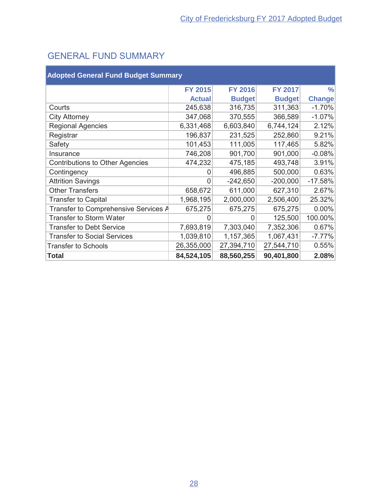#### GENERAL FUND SUMMARY

| <b>Adopted General Fund Budget Summary</b> |                |                |                |               |  |  |  |  |  |  |  |  |
|--------------------------------------------|----------------|----------------|----------------|---------------|--|--|--|--|--|--|--|--|
|                                            | <b>FY 2015</b> | <b>FY 2016</b> | <b>FY 2017</b> | $\frac{9}{6}$ |  |  |  |  |  |  |  |  |
|                                            | <b>Actual</b>  | <b>Budget</b>  | <b>Budget</b>  | <b>Change</b> |  |  |  |  |  |  |  |  |
| Courts                                     | 245,638        | 316,735        | 311,363        | $-1.70%$      |  |  |  |  |  |  |  |  |
| <b>City Attorney</b>                       | 347,068        | 370,555        | 366,589        | $-1.07%$      |  |  |  |  |  |  |  |  |
| <b>Regional Agencies</b>                   | 6,331,468      | 6,603,840      | 6,744,124      | 2.12%         |  |  |  |  |  |  |  |  |
| Registrar                                  | 196,837        | 231,525        | 252,860        | 9.21%         |  |  |  |  |  |  |  |  |
| Safety                                     | 101,453        | 111,005        | 117,465        | 5.82%         |  |  |  |  |  |  |  |  |
| Insurance                                  | 746,208        | 901,700        | 901,000        | $-0.08%$      |  |  |  |  |  |  |  |  |
| <b>Contributions to Other Agencies</b>     | 474,232        | 475,185        | 493,748        | 3.91%         |  |  |  |  |  |  |  |  |
| Contingency                                | 0              | 496,885        | 500,000        | 0.63%         |  |  |  |  |  |  |  |  |
| <b>Attrition Savings</b>                   | $\Omega$       | $-242,650$     | $-200,000$     | $-17.58%$     |  |  |  |  |  |  |  |  |
| <b>Other Transfers</b>                     | 658,672        | 611,000        | 627,310        | 2.67%         |  |  |  |  |  |  |  |  |
| <b>Transfer to Capital</b>                 | 1,968,195      | 2,000,000      | 2,506,400      | 25.32%        |  |  |  |  |  |  |  |  |
| Transfer to Comprehensive Services A       | 675,275        | 675,275        | 675,275        | 0.00%         |  |  |  |  |  |  |  |  |
| <b>Transfer to Storm Water</b>             | 0              | 0              | 125,500        | 100.00%       |  |  |  |  |  |  |  |  |
| <b>Transfer to Debt Service</b>            | 7,693,819      | 7,303,040      | 7,352,306      | 0.67%         |  |  |  |  |  |  |  |  |
| <b>Transfer to Social Services</b>         | 1,039,810      | 1,157,365      | 1,067,431      | $-7.77%$      |  |  |  |  |  |  |  |  |
| <b>Transfer to Schools</b>                 | 26,355,000     | 27,394,710     | 27,544,710     | 0.55%         |  |  |  |  |  |  |  |  |
| <b>Total</b>                               | 84,524,105     | 88,560,255     | 90,401,800     | 2.08%         |  |  |  |  |  |  |  |  |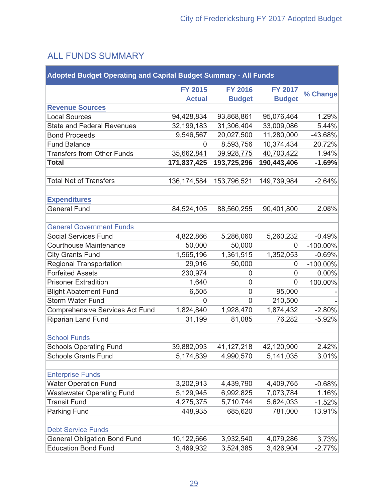#### ALL FUNDS SUMMARY

| <b>Adopted Budget Operating and Capital Budget Summary - All Funds</b> |                |                |                         |             |  |  |  |  |  |  |  |
|------------------------------------------------------------------------|----------------|----------------|-------------------------|-------------|--|--|--|--|--|--|--|
|                                                                        | <b>FY 2015</b> | <b>FY 2016</b> | <b>FY 2017</b>          |             |  |  |  |  |  |  |  |
|                                                                        | <b>Actual</b>  | <b>Budget</b>  | <b>Budget</b>           | % Change    |  |  |  |  |  |  |  |
| <b>Revenue Sources</b>                                                 |                |                |                         |             |  |  |  |  |  |  |  |
| <b>Local Sources</b>                                                   | 94,428,834     | 93,868,861     | 95,076,464              | 1.29%       |  |  |  |  |  |  |  |
| <b>State and Federal Revenues</b>                                      | 32, 199, 183   | 31,306,404     | 33,009,086              | 5.44%       |  |  |  |  |  |  |  |
| <b>Bond Proceeds</b>                                                   | 9,546,567      | 20,027,500     | 11,280,000              | -43.68%     |  |  |  |  |  |  |  |
| <b>Fund Balance</b>                                                    | 0              | 8,593,756      | 10,374,434              | 20.72%      |  |  |  |  |  |  |  |
| <b>Transfers from Other Funds</b>                                      | 35,662,841     | 39,928,775     | 40,703,422              | 1.94%       |  |  |  |  |  |  |  |
| <b>Total</b>                                                           | 171,837,425    | 193,725,296    | 190,443,406             | $-1.69%$    |  |  |  |  |  |  |  |
|                                                                        |                |                |                         |             |  |  |  |  |  |  |  |
| <b>Total Net of Transfers</b>                                          | 136, 174, 584  | 153,796,521    | 149,739,984             | $-2.64%$    |  |  |  |  |  |  |  |
|                                                                        |                |                |                         |             |  |  |  |  |  |  |  |
| <b>Expenditures</b>                                                    |                |                |                         |             |  |  |  |  |  |  |  |
| <b>General Fund</b>                                                    | 84,524,105     | 88,560,255     | 90,401,800              | 2.08%       |  |  |  |  |  |  |  |
|                                                                        |                |                |                         |             |  |  |  |  |  |  |  |
| <b>General Government Funds</b>                                        |                |                |                         |             |  |  |  |  |  |  |  |
| <b>Social Services Fund</b>                                            | 4,822,866      | 5,286,060      | 5,260,232               | $-0.49%$    |  |  |  |  |  |  |  |
| <b>Courthouse Maintenance</b>                                          | 50,000         | 50,000         | $\Omega$                | $-100.00\%$ |  |  |  |  |  |  |  |
| <b>City Grants Fund</b>                                                | 1,565,196      | 1,361,515      | 1,352,053               | $-0.69%$    |  |  |  |  |  |  |  |
| <b>Regional Transportation</b>                                         | 29,916         | 50,000         | 0                       | $-100.00\%$ |  |  |  |  |  |  |  |
| <b>Forfeited Assets</b>                                                | 230,974        | 0              | $\mathbf 0$             | 0.00%       |  |  |  |  |  |  |  |
| <b>Prisoner Extradition</b>                                            | 1,640          | 0              | 0                       | 100.00%     |  |  |  |  |  |  |  |
| <b>Blight Abatement Fund</b>                                           | 6,505          | 0              | 95,000                  |             |  |  |  |  |  |  |  |
| <b>Storm Water Fund</b>                                                | $\Omega$       | $\overline{0}$ | 210,500                 |             |  |  |  |  |  |  |  |
| <b>Comprehensive Services Act Fund</b>                                 | 1,824,840      | 1,928,470      | 1,874,432               | $-2.80%$    |  |  |  |  |  |  |  |
| <b>Riparian Land Fund</b>                                              | 31,199         | 81,085         | 76,282                  | $-5.92%$    |  |  |  |  |  |  |  |
|                                                                        |                |                |                         |             |  |  |  |  |  |  |  |
| <b>School Funds</b><br><b>Schools Operating Fund</b>                   | 39,882,093     | 41,127,218     |                         | 2.42%       |  |  |  |  |  |  |  |
| <b>Schools Grants Fund</b>                                             | 5,174,839      | 4,990,570      | 42,120,900<br>5,141,035 | 3.01%       |  |  |  |  |  |  |  |
|                                                                        |                |                |                         |             |  |  |  |  |  |  |  |
| <b>Enterprise Funds</b>                                                |                |                |                         |             |  |  |  |  |  |  |  |
| <b>Water Operation Fund</b>                                            | 3,202,913      | 4,439,790      | 4,409,765               | $-0.68%$    |  |  |  |  |  |  |  |
| <b>Wastewater Operating Fund</b>                                       | 5,129,945      | 6,992,825      | 7,073,784               | 1.16%       |  |  |  |  |  |  |  |
| <b>Transit Fund</b>                                                    | 4,275,375      | 5,710,744      | 5,624,033               | $-1.52%$    |  |  |  |  |  |  |  |
| Parking Fund                                                           | 448,935        | 685,620        | 781,000                 | 13.91%      |  |  |  |  |  |  |  |
|                                                                        |                |                |                         |             |  |  |  |  |  |  |  |
| <b>Debt Service Funds</b>                                              |                |                |                         |             |  |  |  |  |  |  |  |
| <b>General Obligation Bond Fund</b>                                    | 10,122,666     | 3,932,540      | 4,079,286               | 3.73%       |  |  |  |  |  |  |  |
| <b>Education Bond Fund</b>                                             | 3,469,932      | 3,524,385      | 3,426,904               | $-2.77%$    |  |  |  |  |  |  |  |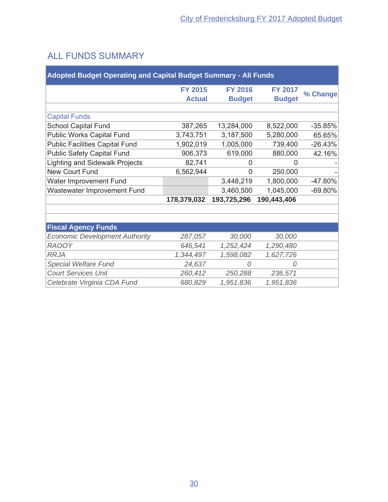#### ALL FUNDS SUMMARY

| <b>Adopted Budget Operating and Capital Budget Summary - All Funds</b> |                |                |                |           |  |  |  |  |  |  |  |  |  |
|------------------------------------------------------------------------|----------------|----------------|----------------|-----------|--|--|--|--|--|--|--|--|--|
|                                                                        | <b>FY 2015</b> | <b>FY 2016</b> | <b>FY 2017</b> |           |  |  |  |  |  |  |  |  |  |
|                                                                        | <b>Actual</b>  | <b>Budget</b>  | <b>Budget</b>  | % Change  |  |  |  |  |  |  |  |  |  |
|                                                                        |                |                |                |           |  |  |  |  |  |  |  |  |  |
| <b>Capital Funds</b>                                                   |                |                |                |           |  |  |  |  |  |  |  |  |  |
| <b>School Capital Fund</b>                                             | 387,265        | 13,284,000     | 8,522,000      | $-35.85%$ |  |  |  |  |  |  |  |  |  |
| <b>Public Works Capital Fund</b>                                       | 3,743,751      | 3,187,500      | 5,280,000      | 65.65%    |  |  |  |  |  |  |  |  |  |
| <b>Public Facilities Capital Fund</b>                                  | 1,902,019      | 1,005,000      | 739,400        | $-26.43%$ |  |  |  |  |  |  |  |  |  |
| <b>Public Safety Capital Fund</b>                                      | 906,373        | 619,000        | 880,000        | 42.16%    |  |  |  |  |  |  |  |  |  |
| <b>Lighting and Sidewalk Projects</b>                                  | 82,741         | 0              | 0              |           |  |  |  |  |  |  |  |  |  |
| <b>New Court Fund</b>                                                  | 6,562,944      | $\Omega$       | 250,000        |           |  |  |  |  |  |  |  |  |  |
| Water Improvement Fund                                                 |                | 3,448,219      | 1,800,000      | -47.80%   |  |  |  |  |  |  |  |  |  |
| Wastewater Improvement Fund                                            |                | 3,460,500      | 1,045,000      | $-69.80%$ |  |  |  |  |  |  |  |  |  |
|                                                                        | 178,379,032    | 193,725,296    | 190,443,406    |           |  |  |  |  |  |  |  |  |  |
|                                                                        |                |                |                |           |  |  |  |  |  |  |  |  |  |
| <b>Fiscal Agency Funds</b>                                             |                |                |                |           |  |  |  |  |  |  |  |  |  |
| <b>Economic Development Authority</b>                                  | 287,057        | 30,000         | 30,000         |           |  |  |  |  |  |  |  |  |  |
| <b>RAOOY</b>                                                           | 646,541        | 1,252,424      | 1,290,480      |           |  |  |  |  |  |  |  |  |  |
| <b>RRJA</b>                                                            | 1,344,497      | 1,598,082      | 1,627,726      |           |  |  |  |  |  |  |  |  |  |
| <b>Special Welfare Fund</b>                                            | 24,637         | 0              | 0              |           |  |  |  |  |  |  |  |  |  |
| <b>Court Services Unit</b>                                             | 260,412        | 250,288        | 236,571        |           |  |  |  |  |  |  |  |  |  |
| Celebrate Virginia CDA Fund                                            | 680,829        | 1,951,836      | 1,951,836      |           |  |  |  |  |  |  |  |  |  |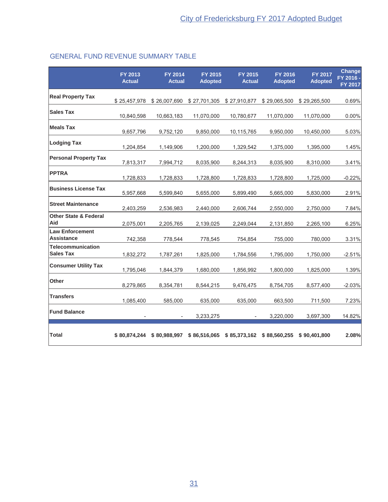#### GENERAL FUND REVENUE SUMMARY TABLE

|                                              | <b>FY 2013</b><br><b>Actual</b> | <b>FY 2014</b><br><b>Actual</b> | <b>FY 2015</b><br><b>Adopted</b> | FY 2015<br><b>Actual</b> | <b>FY 2016</b><br><b>Adopted</b> | <b>FY 2017</b><br><b>Adopted</b> | <b>Change</b><br>FY 2016 -<br>FY 2017 |
|----------------------------------------------|---------------------------------|---------------------------------|----------------------------------|--------------------------|----------------------------------|----------------------------------|---------------------------------------|
| <b>Real Property Tax</b>                     | \$25,457,978                    | \$26,007,690                    | \$27,701,305                     | \$27,910,877             | \$29,065,500                     | \$29,265,500                     | 0.69%                                 |
| <b>Sales Tax</b>                             | 10,840,598                      | 10,663,183                      | 11,070,000                       | 10,780,677               | 11,070,000                       | 11,070,000                       | 0.00%                                 |
| <b>Meals Tax</b>                             | 9,657,796                       | 9,752,120                       | 9,850,000                        | 10,115,765               | 9,950,000                        | 10,450,000                       | 5.03%                                 |
| <b>Lodging Tax</b>                           | 1,204,854                       | 1,149,906                       | 1,200,000                        | 1,329,542                | 1,375,000                        | 1,395,000                        | 1.45%                                 |
| <b>Personal Property Tax</b>                 | 7,813,317                       | 7,994,712                       | 8,035,900                        | 8,244,313                | 8,035,900                        | 8,310,000                        | 3.41%                                 |
| <b>PPTRA</b>                                 | 1,728,833                       | 1,728,833                       | 1,728,800                        | 1,728,833                | 1,728,800                        | 1,725,000                        | $-0.22%$                              |
| <b>Business License Tax</b>                  | 5,957,668                       | 5,599,840                       | 5,655,000                        | 5,899,490                | 5,665,000                        | 5,830,000                        | 2.91%                                 |
| <b>Street Maintenance</b>                    | 2,403,259                       | 2,536,983                       | 2,440,000                        | 2,606,744                | 2,550,000                        | 2,750,000                        | 7.84%                                 |
| <b>Other State &amp; Federal</b><br>Aid      | 2,075,001                       | 2,205,765                       | 2,139,025                        | 2,249,044                | 2,131,850                        | 2,265,100                        | 6.25%                                 |
| <b>Law Enforcement</b><br><b>Assistance</b>  | 742,358                         | 778,544                         | 778,545                          | 754,854                  | 755,000                          | 780,000                          | 3.31%                                 |
| <b>Telecommunication</b><br><b>Sales Tax</b> | 1,832,272                       | 1,787,261                       | 1,825,000                        | 1,784,556                | 1,795,000                        | 1,750,000                        | $-2.51%$                              |
| <b>Consumer Utility Tax</b>                  | 1,795,046                       | 1,844,379                       | 1,680,000                        | 1,856,992                | 1,800,000                        | 1,825,000                        | 1.39%                                 |
| Other                                        | 8,279,865                       | 8,354,781                       | 8,544,215                        | 9,476,475                | 8,754,705                        | 8,577,400                        | $-2.03%$                              |
| <b>Transfers</b>                             | 1,085,400                       | 585,000                         | 635,000                          | 635,000                  | 663,500                          | 711,500                          | 7.23%                                 |
| <b>Fund Balance</b>                          |                                 |                                 | 3,233,275                        |                          | 3,220,000                        | 3,697,300                        | 14.82%                                |
| <b>Total</b>                                 | \$80,874,244                    | \$80,988,997                    | \$86,516,065                     | \$85,373,162             | \$88,560,255                     | \$90,401,800                     | 2.08%                                 |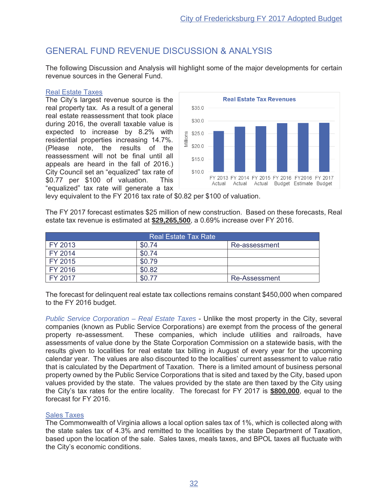#### **GENERAL FUND REVENUE DISCUSSION & ANALYSIS**

The following Discussion and Analysis will highlight some of the major developments for certain revenue sources in the General Fund.

#### **Real Estate Taxes**

The City's largest revenue source is the real property tax. As a result of a general real estate reassessment that took place during 2016, the overall taxable value is expected to increase by 8.2% with residential properties increasing 14.7%. note, the results of the (Please) reassessment will not be final until all appeals are heard in the fall of 2016.) City Council set an "equalized" tax rate of \$0.77 per \$100 of valuation. This "equalized" tax rate will generate a tax



levy equivalent to the FY 2016 tax rate of \$0.82 per \$100 of valuation.

The FY 2017 forecast estimates \$25 million of new construction. Based on these forecasts, Real estate tax revenue is estimated at \$29,265,500, a 0.69% increase over FY 2016.

| Real Estate Tax Rate |        |               |  |  |  |  |  |  |
|----------------------|--------|---------------|--|--|--|--|--|--|
| l FY 2013            | \$0.74 | Re-assessment |  |  |  |  |  |  |
| FY 2014              | \$0.74 |               |  |  |  |  |  |  |
| FY 2015              | \$0.79 |               |  |  |  |  |  |  |
| FY 2016              | \$0.82 |               |  |  |  |  |  |  |
| I FY 2017            | \$0.77 | Re-Assessment |  |  |  |  |  |  |

The forecast for delinguent real estate tax collections remains constant \$450,000 when compared to the FY 2016 budget.

Public Service Corporation – Real Estate Taxes - Unlike the most property in the City, several companies (known as Public Service Corporations) are exempt from the process of the general These companies, which include utilities and railroads, have property re-assessment. assessments of value done by the State Corporation Commission on a statewide basis, with the results given to localities for real estate tax billing in August of every year for the upcoming calendar year. The values are also discounted to the localities' current assessment to value ratio that is calculated by the Department of Taxation. There is a limited amount of business personal property owned by the Public Service Corporations that is sited and taxed by the City, based upon values provided by the state. The values provided by the state are then taxed by the City using the City's tax rates for the entire locality. The forecast for FY 2017 is \$800,000, equal to the forecast for FY 2016.

#### **Sales Taxes**

The Commonwealth of Virginia allows a local option sales tax of 1%, which is collected along with the state sales tax of 4.3% and remitted to the localities by the state Department of Taxation, based upon the location of the sale. Sales taxes, meals taxes, and BPOL taxes all fluctuate with the City's economic conditions.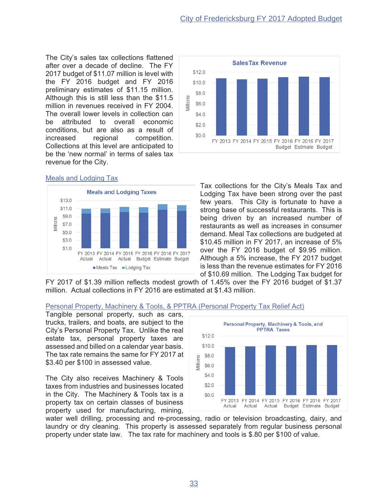The City's sales tax collections flattened after over a decade of decline. The FY 2017 budget of \$11.07 million is level with the FY 2016 budget and FY 2016 preliminary estimates of \$11.15 million. Although this is still less than the \$11.5 million in revenues received in FY 2004. The overall lower levels in collection can **be** attributed to overall economic conditions, but are also as a result of increased regional competition. Collections at this level are anticipated to be the 'new normal' in terms of sales tax revenue for the City.



#### **Meals and Lodging Tax**



Tax collections for the City's Meals Tax and Lodging Tax have been strong over the past few years. This City is fortunate to have a strong base of successful restaurants. This is being driven by an increased number of restaurants as well as increases in consumer demand. Meal Tax collections are budgeted at \$10.45 million in FY 2017, an increase of 5% over the FY 2016 budget of \$9.95 million. Although a 5% increase, the FY 2017 budget is less than the revenue estimates for FY 2016 of \$10.69 million. The Lodging Tax budget for

FY 2017 of \$1.39 million reflects modest growth of 1.45% over the FY 2016 budget of \$1.37 million. Actual collections in FY 2016 are estimated at \$1.43 million.

#### Personal Property, Machinery & Tools, & PPTRA (Personal Property Tax Relief Act)

Tangible personal property, such as cars. trucks, trailers, and boats, are subject to the City's Personal Property Tax. Unlike the real estate tax, personal property taxes are assessed and billed on a calendar year basis. The tax rate remains the same for FY 2017 at \$3.40 per \$100 in assessed value.

The City also receives Machinery & Tools taxes from industries and businesses located in the City. The Machinery & Tools tax is a property tax on certain classes of business property used for manufacturing, mining,



water well drilling, processing and re-processing, radio or television broadcasting, dairy, and laundry or dry cleaning. This property is assessed separately from regular business personal property under state law. The tax rate for machinery and tools is \$.80 per \$100 of value.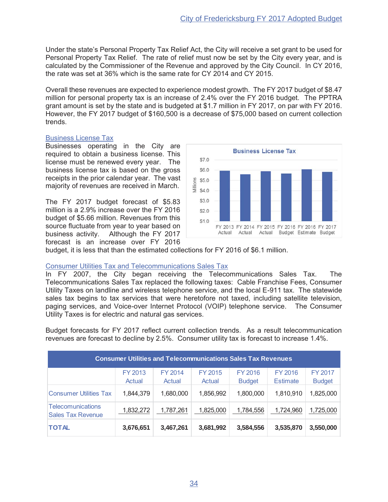Under the state's Personal Property Tax Relief Act, the City will receive a set grant to be used for Personal Property Tax Relief. The rate of relief must now be set by the City every year, and is calculated by the Commissioner of the Revenue and approved by the City Council. In CY 2016, the rate was set at 36% which is the same rate for CY 2014 and CY 2015.

Overall these revenues are expected to experience modest growth. The FY 2017 budget of \$8.47 million for personal property tax is an increase of 2.4% over the FY 2016 budget. The PPTRA grant amount is set by the state and is budgeted at \$1.7 million in FY 2017, on par with FY 2016. However, the FY 2017 budget of \$160,500 is a decrease of \$75,000 based on current collection trends.

#### **Business License Tax**

Businesses operating in the City are required to obtain a business license. This license must be renewed every year. The business license tax is based on the gross receipts in the prior calendar year. The vast majority of revenues are received in March.

The FY 2017 budget forecast of \$5.83 million is a 2.9% increase over the FY 2016 budget of \$5.66 million. Revenues from this source fluctuate from year to year based on business activity. Although the FY 2017 forecast is an increase over FY 2016



budget, it is less that than the estimated collections for FY 2016 of \$6.1 million.

#### **Consumer Utilities Tax and Telecommunications Sales Tax**

In FY 2007, the City began receiving the Telecommunications Sales Tax. The Telecommunications Sales Tax replaced the following taxes: Cable Franchise Fees, Consumer Utility Taxes on landline and wireless telephone service, and the local E-911 tax. The statewide sales tax begins to tax services that were heretofore not taxed, including satellite television, paging services, and Voice-over Internet Protocol (VOIP) telephone service. The Consumer Utility Taxes is for electric and natural gas services.

Budget forecasts for FY 2017 reflect current collection trends. As a result telecommunication revenues are forecast to decline by 2.5%. Consumer utility tax is forecast to increase 1.4%.

| <b>Consumer Utilities and Telecommunications Sales Tax Revenues</b> |                          |                   |                   |                          |                            |                          |  |  |  |  |  |  |
|---------------------------------------------------------------------|--------------------------|-------------------|-------------------|--------------------------|----------------------------|--------------------------|--|--|--|--|--|--|
|                                                                     | FY 2013<br><b>Actual</b> | FY 2014<br>Actual | FY 2015<br>Actual | FY 2016<br><b>Budget</b> | FY 2016<br><b>Estimate</b> | FY 2017<br><b>Budget</b> |  |  |  |  |  |  |
| <b>Consumer Utilities Tax</b>                                       | 1,844,379                | 1,680,000         | 1,856,992         | 1,800,000                | 1,810,910                  | 1,825,000                |  |  |  |  |  |  |
| <b>Telecomunications</b><br><b>Sales Tax Revenue</b>                | 1,832,272                | 1,787,261         | 1,825,000         | 1,784,556                | 1,724,960                  | 1,725,000                |  |  |  |  |  |  |
| <b>TOTAL</b>                                                        | 3,676,651                | 3,467,261         | 3,681,992         | 3,584,556                | 3,535,870                  | 3,550,000                |  |  |  |  |  |  |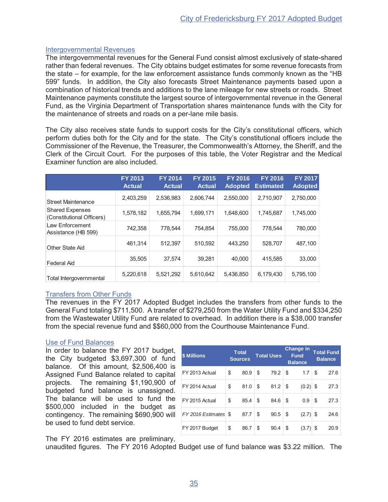#### **Intergovernmental Revenues**

The intergovernmental revenues for the General Fund consist almost exclusively of state-shared rather than federal revenues. The City obtains budget estimates for some revenue forecasts from the state – for example, for the law enforcement assistance funds commonly known as the "HB 599" funds. In addition, the City also forecasts Street Maintenance payments based upon a combination of historical trends and additions to the lane mileage for new streets or roads. Street Maintenance payments constitute the largest source of intergovernmental revenue in the General Fund, as the Virginia Department of Transportation shares maintenance funds with the City for the maintenance of streets and roads on a per-lane mile basis.

The City also receives state funds to support costs for the City's constitutional officers, which perform duties both for the City and for the state. The City's constitutional officers include the Commissioner of the Revenue, the Treasurer, the Commonwealth's Attorney, the Sheriff, and the Clerk of the Circuit Court. For the purposes of this table, the Voter Registrar and the Medical Examiner function are also included.

|                                                     | <b>FY 2013</b><br><b>Actual</b> | <b>FY 2014</b><br><b>Actual</b> | <b>FY 2015</b><br><b>Actual</b> | <b>FY 2016</b><br><b>Adopted</b> | <b>FY 2016</b><br><b>Estimated</b> | FY 2017<br><b>Adopted</b> |
|-----------------------------------------------------|---------------------------------|---------------------------------|---------------------------------|----------------------------------|------------------------------------|---------------------------|
| <b>Street Maintenance</b>                           | 2,403,259                       | 2,536,983                       | 2,606,744                       | 2,550,000                        | 2,710,907                          | 2,750,000                 |
| <b>Shared Expenses</b><br>(Constitutional Officers) | 1,578,182                       | 1,655,794                       | 1,699,171                       | 1,648,600                        | 1,745,687                          | 1,745,000                 |
| Law Enforcement<br>Assistance (HB 599)              | 742,358                         | 778,544                         | 754,854                         | 755,000                          | 778,544                            | 780,000                   |
| Other State Aid                                     | 461.314                         | 512.397                         | 510.592                         | 443.250                          | 528.707                            | 487.100                   |
| <b>Federal Aid</b>                                  | 35,505                          | 37,574                          | 39,281                          | 40.000                           | 415,585                            | 33,000                    |
| Total Intergovernmental                             | 5,220,618                       | 5,521,292                       | 5,610,642                       | 5,436,850                        | 6,179,430                          | 5,795,100                 |

#### **Transfers from Other Funds**

The revenues in the FY 2017 Adopted Budget includes the transfers from other funds to the General Fund totaling \$711,500. A transfer of \$279,250 from the Water Utility Fund and \$334,250 from the Wastewater Utility Fund are related to overhead. In addition there is a \$38,000 transfer from the special revenue fund and \$\$60,000 from the Courthouse Maintenance Fund.

#### **Use of Fund Balances**

In order to balance the FY 2017 budget, the City budgeted \$3,697,300 of fund balance. Of this amount, \$2,506,400 is Assigned Fund Balance related to capital projects. The remaining \$1,190,900 of budgeted fund balance is unassigned. The balance will be used to fund the \$500,000 included in the budget as contingency. The remaining \$690,900 will be used to fund debt service.

| \$ Millions       | <b>Total</b><br><b>Sources</b> |      | <b>Total Uses</b> |      | <b>Change in</b><br><b>Fund</b><br><b>Balance</b> |    | <b>Total Fund</b><br><b>Balance</b> |
|-------------------|--------------------------------|------|-------------------|------|---------------------------------------------------|----|-------------------------------------|
| FY 2013 Actual    | \$                             | 80.9 | \$                | 79.2 | \$<br>1.7                                         | \$ | 27.6                                |
| FY 2014 Actual    | \$                             | 81.0 | \$                | 81.2 | \$<br>(0.2)                                       | \$ | 27.3                                |
| FY 2015 Actual    | \$                             | 85.4 | \$                | 84.6 | \$<br>0.9                                         | \$ | 27.3                                |
| FY 2016 Estimates | S                              | 87.7 | \$                | 90.5 | \$<br>(2.7)                                       | S  | 24.6                                |
| FY 2017 Budget    | \$                             | 86.7 | \$                | 90.4 | \$<br>(3.7)                                       | \$ | 20.9                                |

The FY 2016 estimates are preliminary,

unaudited figures. The FY 2016 Adopted Budget use of fund balance was \$3.22 million. The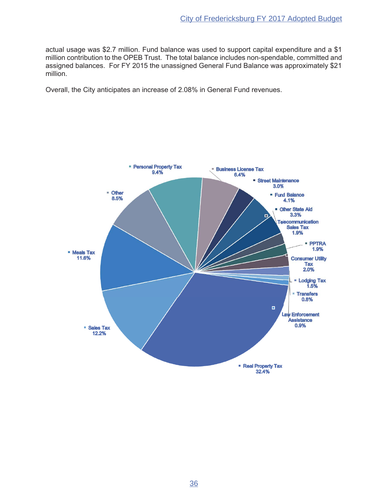actual usage was \$2.7 million. Fund balance was used to support capital expenditure and a \$1 million contribution to the OPEB Trust. The total balance includes non-spendable, committed and assigned balances. For FY 2015 the unassigned General Fund Balance was approximately \$21 million.

Overall, the City anticipates an increase of 2.08% in General Fund revenues.

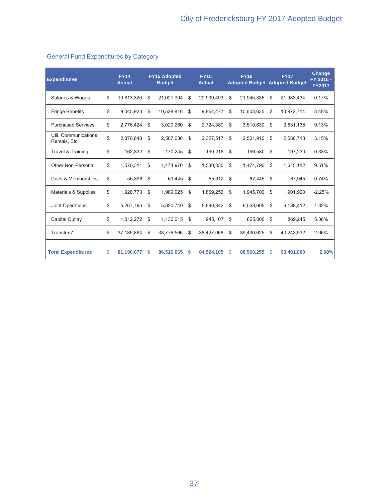| <b>Expenditures</b>                   | <b>FY14</b><br><b>Actual</b> |     | <b>FY15 Adopted</b><br><b>Budget</b> | <b>FY15</b><br><b>Actual</b> |            | <b>FY16</b><br><b>Adopted Budget Adopted Budget</b> |            |    | <b>FY17</b> | Change<br>FY 2016 -<br><b>FY2017</b> |
|---------------------------------------|------------------------------|-----|--------------------------------------|------------------------------|------------|-----------------------------------------------------|------------|----|-------------|--------------------------------------|
| Salaries & Wages                      | \$<br>19,813,320             | \$  | 21,021,904                           | \$                           | 20,909,493 | \$                                                  | 21,945,335 | \$ | 21,983,434  | 0.17%                                |
| <b>Fringe Benefits</b>                | \$<br>9,045,923              | \$  | 10,528,816                           | \$                           | 9,854,477  | \$                                                  | 10,603,635 | \$ | 10,972,714  | 3.48%                                |
| <b>Purchased Services</b>             | \$<br>2,776,424              | \$  | 3,029,260                            | S                            | 2,724,380  | \$                                                  | 3,510,630  | S  | 3,831,138   | 9.13%                                |
| Util, Communications<br>Rentals, Etc. | \$<br>2,370,648              | \$  | 2,507,080                            | \$                           | 2,327,517  | \$                                                  | 2,501,910  | \$ | 2,580,718   | 3.15%                                |
| Travel & Training                     | \$<br>162,832                | \$  | 170,245                              | \$                           | 190,218    | \$                                                  | 196,580    | \$ | 197,230     | 0.33%                                |
| Other Non-Personal                    | \$<br>1,570,311              | \$  | 1,474,970                            | \$                           | 1,530,335  | \$                                                  | 1,474,790  | \$ | 1,615,112   | 9.51%                                |
| Dues & Memberships                    | \$<br>55,896                 | -\$ | 61,445                               | \$                           | 55,912     | -S                                                  | 67,445     | -S | 67,945      | 0.74%                                |
| Materials & Supplies                  | \$<br>1,928,773              | \$  | 1,989,025                            | \$                           | 1,869,256  | \$                                                  | 1,945,700  | \$ | 1,901,920   | $-2.25%$                             |
| Joint Operations                      | \$<br>5,267,795              | \$  | 5,820,740                            | \$                           | 5,690,342  | \$                                                  | 6,058,605  | \$ | 6,138,412   | 1.32%                                |
| Capital Outlay                        | \$<br>1,012,272              | \$  | 1,136,015                            | \$                           | 945,107    | \$                                                  | 825,000    | \$ | 869,245     | 5.36%                                |
| Transfers*                            | \$<br>37,185,884             | -S  | 38,776,566                           | \$                           | 38,427,068 | \$                                                  | 39,430,625 | \$ | 40,243,932  | 2.06%                                |
| <b>Total Expenditures</b>             | \$<br>81,190,077             | S   | 86,516,065                           | s                            | 84,524,105 | s.                                                  | 88,560,255 | S. | 90,401,800  | 2.08%                                |

#### General Fund Expenditures by Category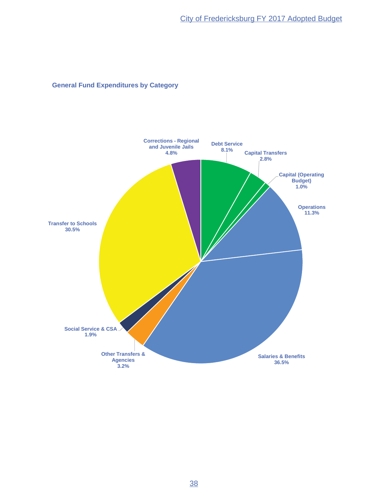#### **General Fund Expenditures by Category**

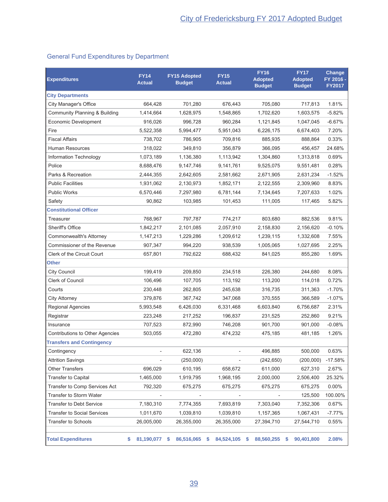#### General Fund Expenditures by Department

| <b>Expenditures</b>                | <b>FY14</b><br><b>Actual</b> | <b>FY15 Adopted</b><br><b>Budget</b> | <b>FY15</b><br><b>Actual</b> | <b>FY16</b><br><b>Adopted</b><br><b>Budget</b> | <b>FY17</b><br><b>Adopted</b><br><b>Budget</b> | Change<br>FY 2016 -<br><b>FY2017</b> |
|------------------------------------|------------------------------|--------------------------------------|------------------------------|------------------------------------------------|------------------------------------------------|--------------------------------------|
| <b>City Departments</b>            |                              |                                      |                              |                                                |                                                |                                      |
| <b>City Manager's Office</b>       | 664,428                      | 701,280                              | 676,443                      | 705,080                                        | 717,813                                        | 1.81%                                |
| Community Planning & Building      | 1,414,664                    | 1,628,975                            | 1,548,865                    | 1,702,620                                      | 1,603,575                                      | $-5.82%$                             |
| Economic Development               | 916,026                      | 996,728                              | 960,284                      | 1,121,845                                      | 1,047,045                                      | $-6.67%$                             |
| Fire                               | 5,522,358                    | 5,994,477                            | 5,951,043                    | 6,226,175                                      | 6,674,403                                      | 7.20%                                |
| <b>Fiscal Affairs</b>              | 738,702                      | 786,905                              | 709,816                      | 885,935                                        | 888,864                                        | 0.33%                                |
| Human Resources                    | 318,022                      | 349,810                              | 356,879                      | 366,095                                        | 456,457                                        | 24.68%                               |
| Information Technology             | 1,073,189                    | 1,136,380                            | 1,113,942                    | 1,304,860                                      | 1,313,818                                      | 0.69%                                |
| Police                             | 8,688,476                    | 9,147,746                            | 9,141,761                    | 9,525,075                                      | 9,551,481                                      | 0.28%                                |
| Parks & Recreation                 | 2,444,355                    | 2,642,605                            | 2,581,662                    | 2,671,905                                      | 2,631,234                                      | $-1.52%$                             |
| <b>Public Facilities</b>           | 1,931,062                    | 2,130,973                            | 1,852,171                    | 2,122,555                                      | 2,309,960                                      | 8.83%                                |
| <b>Public Works</b>                | 6,570,446                    | 7,297,980                            | 6,781,144                    | 7,134,645                                      | 7,207,633                                      | 1.02%                                |
| Safety                             | 90,862                       | 103,985                              | 101,453                      | 111,005                                        | 117,465                                        | 5.82%                                |
| <b>Constitutional Officer</b>      |                              |                                      |                              |                                                |                                                |                                      |
| Treasurer                          | 768,967                      | 797,787                              | 774,217                      | 803,680                                        | 882,536                                        | 9.81%                                |
| Sheriff's Office                   | 1,842,217                    | 2,101,085                            | 2,057,910                    | 2,158,830                                      | 2,156,620                                      | $-0.10%$                             |
| Commonwealth's Attorney            | 1,147,213                    | 1,229,286                            | 1,209,612                    | 1,239,115                                      | 1,332,608                                      | 7.55%                                |
| Commissioner of the Revenue        | 907,347                      | 994,220                              | 938,539                      | 1,005,065                                      | 1,027,695                                      | 2.25%                                |
| Clerk of the Circuit Court         | 657,801                      | 792,622                              | 688,432                      | 841,025                                        | 855,280                                        | 1.69%                                |
| <b>Other</b>                       |                              |                                      |                              |                                                |                                                |                                      |
| City Council                       | 199,419                      | 209,850                              | 234,518                      | 226,380                                        | 244,680                                        | 8.08%                                |
| <b>Clerk of Council</b>            | 106,496                      | 107,705                              | 113,192                      | 113,200                                        | 114,018                                        | 0.72%                                |
| Courts                             | 230,448                      | 262,805                              | 245,638                      | 316,735                                        | 311,363                                        | $-1.70%$                             |
| <b>City Attorney</b>               | 379,876                      | 367,742                              | 347,068                      | 370,555                                        | 366,589                                        | $-1.07%$                             |
| <b>Regional Agencies</b>           | 5,993,548                    | 6,426,030                            | 6,331,468                    | 6,603,840                                      | 6,756,687                                      | 2.31%                                |
| Registrar                          | 223,248                      | 217,252                              | 196,837                      | 231,525                                        | 252,860                                        | 9.21%                                |
| Insurance                          | 707,523                      | 872,990                              | 746,208                      | 901,700                                        | 901,000                                        | $-0.08%$                             |
| Contributions to Other Agencies    | 503,055                      | 472,280                              | 474,232                      | 475,185                                        | 481,185                                        | 1.26%                                |
| <b>Transfers and Contingency</b>   |                              |                                      |                              |                                                |                                                |                                      |
| Contingency                        |                              | 622,136                              |                              | 496,885                                        | 500,000                                        | 0.63%                                |
| <b>Attrition Savings</b>           |                              | (250,000)                            |                              | (242, 650)                                     | (200,000)                                      | $-17.58%$                            |
| <b>Other Transfers</b>             | 696,029                      | 610,195                              | 658,672                      | 611,000                                        | 627,310                                        | 2.67%                                |
| <b>Transfer to Capital</b>         | 1,465,000                    | 1,919,795                            | 1,968,195                    | 2,000,000                                      | 2,506,400                                      | 25.32%                               |
| Transfer to Comp Services Act      | 792,320                      | 675,275                              | 675,275                      | 675,275                                        | 675,275                                        | $0.00\%$                             |
| Transfer to Storm Water            |                              |                                      |                              |                                                | 125,500                                        | 100.00%                              |
| <b>Transfer to Debt Service</b>    | 7,180,310                    | 7,774,355                            | 7,693,819                    | 7,303,040                                      | 7,352,306                                      | 0.67%                                |
| <b>Transfer to Social Services</b> | 1,011,670                    | 1,039,810                            | 1,039,810                    | 1,157,365                                      | 1,067,431                                      | $-7.77%$                             |
| <b>Transfer to Schools</b>         | 26,005,000                   | 26,355,000                           | 26,355,000                   | 27,394,710                                     | 27,544,710                                     | 0.55%                                |
| <b>Total Expenditures</b>          | 81,190,077<br>\$             | 86,516,065<br>-S                     | 84,524,105 \$<br>-S          | 88,560,255                                     | 90,401,800<br>\$                               | 2.08%                                |